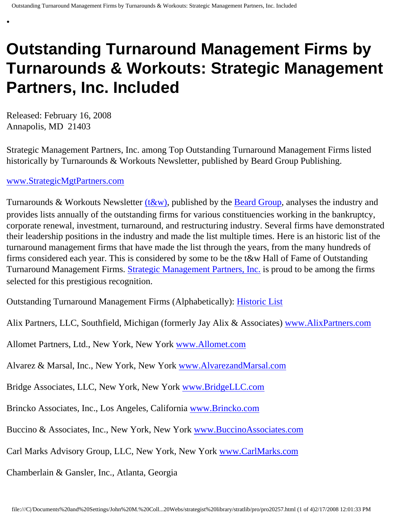## **Outstanding Turnaround Management Firms by Turnarounds & Workouts: Strategic Management Partners, Inc. Included**

Released: February 16, 2008 Annapolis, MD 21403

•

Strategic Management Partners, Inc. among Top Outstanding Turnaround Management Firms listed historically by Turnarounds & Workouts Newsletter, published by Beard Group Publishing.

## [www.StrategicMgtPartners.com](http://www.strategicmgtpartners.com/)

Turnarounds & Workouts Newsletter  $(t&w)$ , published by the **[Beard Group](http://www.beardgroup.com/)**, analyses the industry and provides lists annually of the outstanding firms for various constituencies working in the bankruptcy, corporate renewal, investment, turnaround, and restructuring industry. Several firms have demonstrated their leadership positions in the industry and made the list multiple times. Here is an historic list of the turnaround management firms that have made the list through the years, from the many hundreds of firms considered each year. This is considered by some to be the t&w Hall of Fame of Outstanding Turnaround Management Firms. [Strategic Management Partners, Inc.](http://members.aol.com/strategist/home.html) is proud to be among the firms selected for this prestigious recognition.

Outstanding Turnaround Management Firms (Alphabetically): [Historic List](http://members.aol.com/Strategist/twtop12.html)

Alix Partners, LLC, Southfield, Michigan (formerly Jay Alix & Associates) [www.AlixPartners.com](http://www.alixpartners.com/)

Allomet Partners, Ltd., New York, New York [www.Allomet.com](http://www.allomet.com/)

Alvarez & Marsal, Inc., New York, New York [www.AlvarezandMarsal.com](http://www.alvarezandmarsal.com/)

Bridge Associates, LLC, New York, New York [www.BridgeLLC.com](http://www.bridgellc.com/)

Brincko Associates, Inc., Los Angeles, California [www.Brincko.com](http://www.brincko.com/)

Buccino & Associates, Inc., New York, New York [www.BuccinoAssociates.com](http://www.buccinoassociates.com/)

Carl Marks Advisory Group, LLC, New York, New York [www.CarlMarks.com](http://www.carlmarks.com/)

Chamberlain & Gansler, Inc., Atlanta, Georgia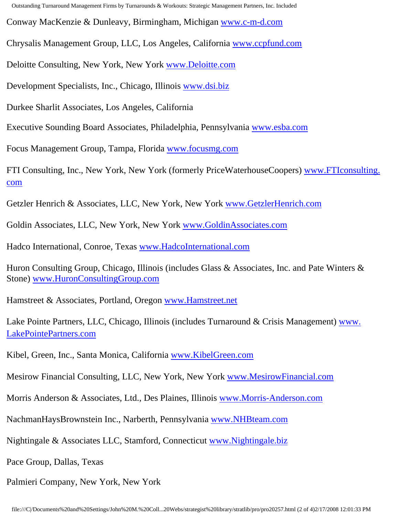Outstanding Turnaround Management Firms by Turnarounds & Workouts: Strategic Management Partners, Inc. Included

Conway MacKenzie & Dunleavy, Birmingham, Michigan [www.c-m-d.com](http://www.c-m-d.com/)

Chrysalis Management Group, LLC, Los Angeles, California [www.ccpfund.com](http://www.ccpfund.com/)

Deloitte Consulting, New York, New York [www.Deloitte.com](http://www.deloitte.com/)

Development Specialists, Inc., Chicago, Illinois [www.dsi.biz](http://www.dsi.biz/)

Durkee Sharlit Associates, Los Angeles, California

Executive Sounding Board Associates, Philadelphia, Pennsylvania [www.esba.com](http://www.esba.com/)

Focus Management Group, Tampa, Florida [www.focusmg.com](http://www.focusmg.com/)

FTI Consulting, Inc., New York, New York (formerly PriceWaterhouseCoopers) [www.FTIconsulting.](http://www.fticonsulting.com/) [com](http://www.fticonsulting.com/)

Getzler Henrich & Associates, LLC, New York, New York [www.GetzlerHenrich.com](http://www.getzlerhenrich.com/)

Goldin Associates, LLC, New York, New York [www.GoldinAssociates.com](http://www.goldinassociates.com/)

Hadco International, Conroe, Texas [www.HadcoInternational.com](http://www.hadcointernational.com/)

Huron Consulting Group, Chicago, Illinois (includes Glass & Associates, Inc. and Pate Winters & Stone) [www.HuronConsultingGroup.com](http://www.huronconsultinggroup.com/)

Hamstreet & Associates, Portland, Oregon [www.Hamstreet.net](http://www.hamstreet.net/)

Lake Pointe Partners, LLC, Chicago, Illinois (includes Turnaround & Crisis Management) [www.](http://www.lakepointepartners.com/) [LakePointePartners.com](http://www.lakepointepartners.com/)

Kibel, Green, Inc., Santa Monica, California [www.KibelGreen.com](http://www.kibelgreen.com/)

Mesirow Financial Consulting, LLC, New York, New York [www.MesirowFinancial.com](http://www.mesirowfinancial.com/)

Morris Anderson & Associates, Ltd., Des Plaines, Illinois [www.Morris-Anderson.com](http://www.morris-anderson.com/)

NachmanHaysBrownstein Inc., Narberth, Pennsylvania [www.NHBteam.com](http://www.nhbteam.com/)

Nightingale & Associates LLC, Stamford, Connecticut [www.Nightingale.biz](http://www.nightingale.biz/)

Pace Group, Dallas, Texas

Palmieri Company, New York, New York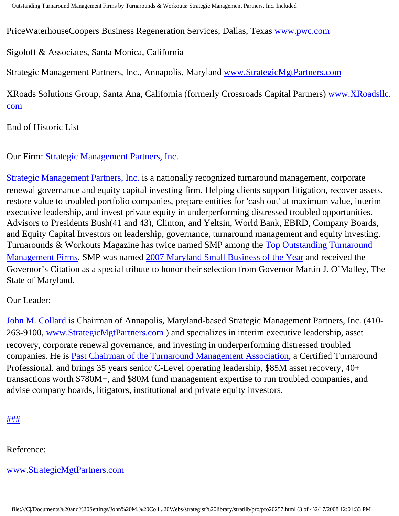PriceWaterhouseCoopers Business Regeneration Services, Dallas, Texas [www.pwc.com](http://www.pwc.com/)

Sigoloff & Associates, Santa Monica, California

Strategic Management Partners, Inc., Annapolis, Maryland [www.StrategicMgtPartners.com](http://www.strategicmgtpartners.com/)

XRoads Solutions Group, Santa Ana, California (formerly Crossroads Capital Partners) [www.XRoadsllc.](http://www.xroadsllc.com/) [com](http://www.xroadsllc.com/)

End of Historic List

Our Firm: [Strategic Management Partners, Inc.](http://www.turnaroundmanagement.us.com/)

[Strategic Management Partners, Inc.](http://www.strategicmanagementpartnersinc.com/) is a nationally recognized turnaround management, corporate renewal governance and equity capital investing firm. Helping clients support litigation, recover assets, restore value to troubled portfolio companies, prepare entities for 'cash out' at maximum value, interim executive leadership, and invest private equity in underperforming distressed troubled opportunities. Advisors to Presidents Bush(41 and 43), Clinton, and Yeltsin, World Bank, EBRD, Company Boards, and Equity Capital Investors on leadership, governance, turnaround management and equity investing. Turnarounds & Workouts Magazine has twice named SMP among the [Top Outstanding Turnaround](http://members.aol.com/Strategist/twtop12.html) [Management Firms](http://members.aol.com/Strategist/twtop12.html). SMP was named [2007 Maryland Small Business of the Year](http://members.aol.com/Stratlib3/mccsbyr.html) and received the Governor's Citation as a special tribute to honor their selection from Governor Martin J. O'Malley, The State of Maryland.

Our Leader:

[John M. Collard](http://www.strategistlibrary.com/) is Chairman of Annapolis, Maryland-based Strategic Management Partners, Inc. (410- 263-9100, [www.StrategicMgtPartners.com](http://www.strategicmgtpartners.com/) ) and specializes in interim executive leadership, asset recovery, corporate renewal governance, and investing in underperforming distressed troubled companies. He is [Past Chairman of the Turnaround Management Association](http://members.aol.com/Strategist/pastchair.html), a Certified Turnaround Professional, and brings 35 years senior C-Level operating leadership, \$85M asset recovery, 40+ transactions worth \$780M+, and \$80M fund management expertise to run troubled companies, and advise company boards, litigators, institutional and private equity investors.

[#](http://members.aol.com/Strategist/home.html)[#](http://members.aol.com/Strategist/sitemap.html)[#](http://members.aol.com/Strategist/urllist.txt)

Reference:

[www.StrategicMgtPartners.com](http://www.strategicmgtpartners.com/)